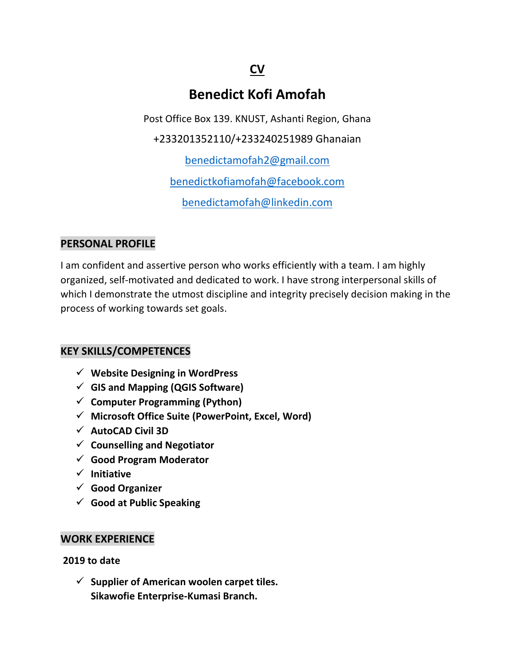## **CV**

# **Benedict Kofi Amofah**

Post Office Box 139. KNUST, Ashanti Region, Ghana

+233201352110/+233240251989 Ghanaian

[benedictamofah2@gmail.com](mailto:benedictamofah2@gmail.com) 

[benedictkofiamofah@facebook.com](mailto:benedictkofiamofah@facebook.com)

[benedictamofah@linkedin.com](mailto:benedictamofah@linkedin.com)

#### **PERSONAL PROFILE**

I am confident and assertive person who works efficiently with a team. I am highly organized, self-motivated and dedicated to work. I have strong interpersonal skills of which I demonstrate the utmost discipline and integrity precisely decision making in the process of working towards set goals.

### **KEY SKILLS/COMPETENCES**

- ✓ **Website Designing in WordPress**
- ✓ **GIS and Mapping (QGIS Software)**
- ✓ **Computer Programming (Python)**
- ✓ **Microsoft Office Suite (PowerPoint, Excel, Word)**
- ✓ **AutoCAD Civil 3D**
- ✓ **Counselling and Negotiator**
- ✓ **Good Program Moderator**
- ✓ **Initiative**
- ✓ **Good Organizer**
- ✓ **Good at Public Speaking**

#### **WORK EXPERIENCE**

**2019 to date**

✓ **Supplier of American woolen carpet tiles. Sikawofie Enterprise-Kumasi Branch.**